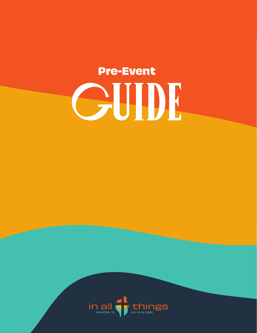# **Pre-Event** GUIDE

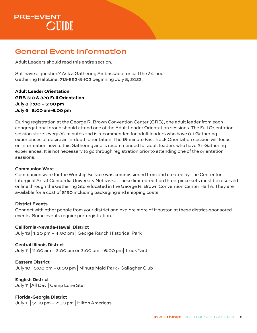### General Event Information

Adult Leaders should read this entire section.

Still have a question? Ask a Gathering Ambassador or call the 24-hour Gathering HelpLine: 713-853-8403 beginning July 8, 2022.

**Adult Leader Orientation GRB 310 & 320 Full Orientation July 8 |1:00 – 5:00 pm July 9 | 8:00 am-6:00 pm**

During registration at the George R. Brown Convention Center (GRB), one adult leader from each congregational group should attend one of the Adult Leader Orientation sessions. The Full Orientation session starts every 30 minutes and is recommended for adult leaders who have 0-1 Gathering experiences or desire an in-depth orientation. The 15-minute Fast Track Orientation session will focus on information new to this Gathering and is recommended for adult leaders who have 2+ Gathering experiences. It is not necessary to go through registration prior to attending one of the orientation sessions.

#### **Communion Ware**

Communion ware for the Worship Service was commissioned from and created by The Center for Liturgical Art at Concordia University Nebraska. These limited-edition three-piece sets must be reserved online through the Gathering Store located in the George R. Brown Convention Center Hall A. They are available for a cost of \$150 including packaging and shipping costs.

#### **District Events**

Connect with other people from your district and explore more of Houston at these district-sponsored events. Some events require pre-registration.

#### **California-Nevada-Hawaii District**

July 13 | 1:30 pm – 4:00 pm | George Ranch Historical Park

#### **Central Illinois District**

July 11 | 11:00 am – 2:00 pm or 3:00 pm – 6:00 pm| Truck Yard

**Eastern District**

July 10 | 6:00 pm – 8:00 pm | Minute Maid Park - Gallagher Club

**English District** July 11 |All Day | Camp Lone Star

**Florida-Georgia District** July 11 | 5:00 pm – 7:30 pm | Hilton Americas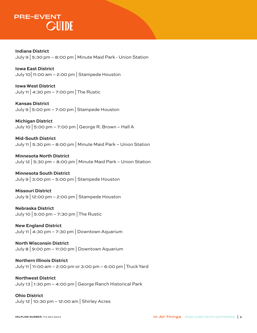**Indiana District**  July 9 | 5:30 pm – 8:00 pm | Minute Maid Park - Union Station

**Iowa East District**  July 10  $|11:00$  am  $-2:00$  pm  $|$  Stampede Houston

**Iowa West District**  July 11 | 4:30 pm – 7:00 pm | The Rustic

**Kansas District**  July 9 | 5:00 pm – 7:00 pm | Stampede Houston

**Michigan District**  July 10 | 5:00 pm – 7:00 pm | George R. Brown – Hall A

**Mid-South District**  July 11 | 5:30 pm – 8:00 pm | Minute Maid Park – Union Station

**Minnesota North District**  July 12 | 5:30 pm – 8:00 pm | Minute Maid Park – Union Station

**Minnesota South District**  July 9  $\vert$  3:00 pm – 5:00 pm  $\vert$  Stampede Houston

**Missouri District**  July 9 | 12:00 pm – 2:00 pm | Stampede Houston

**Nebraska District**  July 10 | 5:00 pm – 7:30 pm | The Rustic

**New England District**  July 11 | 4:30 pm – 7:30 pm | Downtown Aquarium

**North Wisconsin District**  July 8 | 9:00 pm – 11:00 pm | Downtown Aquarium

**Northern Illinois District**  July 11 | 11:00 am – 2:00 pm or 3:00 pm – 6:00 pm |Truck Yard

**Northwest District**  July 13 | 1:30 pm – 4:00 pm | George Ranch Historical Park

**Ohio District**  July 12 | 10:30 pm – 12:00 am | Shirley Acres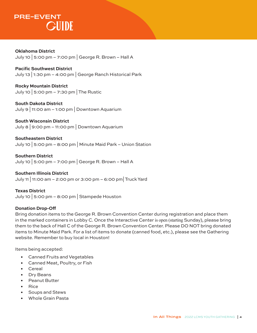**Oklahoma District** July 10 | 5:00 pm – 7:00 pm | George R. Brown – Hall A

**Pacific Southwest District** July 13 | 1:30 pm – 4:00 pm | George Ranch Historical Park

**Rocky Mountain District** July 10 | 5:00 pm – 7:30 pm | The Rustic

**South Dakota District** July 9 | 11:00 am – 1:00 pm  $\vert$  Downtown Aquarium

**South Wisconsin District** July 8 | 9:00 pm – 11:00 pm | Downtown Aquarium

**Southeastern District** July 10 | 5:00 pm – 8:00 pm | Minute Maid Park – Union Station

**Southern District** July 10 | 5:00 pm – 7:00 pm | George R. Brown – Hall A

**Southern Illinois District** July 11 | 11:00 am – 2:00 pm or 3:00 pm – 6:00 pm| Truck Yard

**Texas District** July 10 | 5:00 pm – 8:00 pm | Stampede Houston

#### **Donation Drop-Off**

Bring donation items to the George R. Brown Convention Center during registration and place them in the marked containers in Lobby C. Once the Interactive Center is open (starting Sunday), please bring them to the back of Hall C of the George R. Brown Convention Center. Please DO NOT bring donated items to Minute Maid Park. For a list of items to donate (canned food, etc.), please see the Gathering website. Remember to buy local in Houston!

Items being accepted:

- Canned Fruits and Vegetables
- Canned Meat, Poultry, or Fish
- Cereal
- Dry Beans
- Peanut Butter
- Rice
- Soups and Stews
- Whole Grain Pasta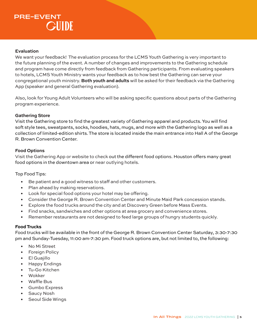#### **Evaluation**

We want your feedback! The evaluation process for the LCMS Youth Gathering is very important to the future planning of the event. A number of changes and improvements to the Gathering schedule and program have come directly from feedback from Gathering participants. From evaluating speakers to hotels, LCMS Youth Ministry wants your feedback as to how best the Gathering can serve your congregational youth ministry. **Both youth and adults** will be asked for their feedback via the Gathering App (speaker and general Gathering evaluation).

Also, look for Young Adult Volunteers who will be asking specific questions about parts of the Gathering program experience.

#### **Gathering Store**

Visit the Gathering store to find the greatest variety of Gathering apparel and products. You will find soft style tees, sweatpants, socks, hoodies, hats, mugs, and more with the Gathering logo as well as a collection of limited-edition shirts. The store is located inside the main entrance into Hall A of the George R. Brown Convention Center.

#### **Food Options**

Visit the Gathering App or website to check out the different food options. Houston offers many great food options in the downtown area or near outlying hotels.

Top Food Tips:

- Be patient and a good witness to staff and other customers.
- Plan ahead by making reservations.
- Look for special food options your hotel may be offering.
- Consider the George R. Brown Convention Center and Minute Maid Park concession stands.
- Explore the food trucks around the city and at Discovery Green before Mass Events.
- Find snacks, sandwiches and other options at area grocery and convenience stores.
- Remember restaurants are not designed to feed large groups of hungry students quickly.

#### **Food Trucks**

Food trucks will be available in the front of the George R. Brown Convention Center Saturday, 3:30-7:30 pm and Sunday-Tuesday, 11:00 am-7:30 pm. Food truck options are, but not limited to, the following:

- No Mi Street
- Foreign Policy
- El Guajillo
- Happy Endings
- Tu-Go Kitchen
- Wokker
- Waffle Bus
- Gumbo Express
- Saucy Nosh
- Seoul Side Wings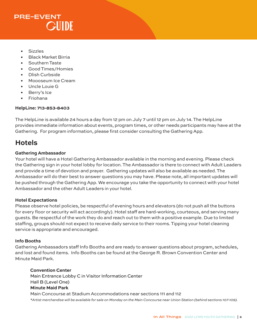- **Sizzles**
- Black Market Birria
- Southern Taste
- Good Times/Homies
- Dlish Curbside
- Moooseum Ice Cream
- Uncle Louie G
- Berry's Ice
- Friohana

#### **HelpLine: 713-853-8403**

The HelpLine is available 24 hours a day from 12 pm on July 7 until 12 pm on July 14. The HelpLine provides immediate information about events, program times, or other needs participants may have at the Gathering. For program information, please first consider consulting the Gathering App.

### **Hotels**

#### **Gathering Ambassador**

Your hotel will have a Hotel Gathering Ambassador available in the morning and evening. Please check the Gathering sign in your hotel lobby for location. The Ambassador is there to connect with Adult Leaders and provide a time of devotion and prayer. Gathering updates will also be available as needed. The Ambassador will do their best to answer questions you may have. Please note, all important updates will be pushed through the Gathering App. We encourage you take the opportunity to connect with your hotel Ambassador and the other Adult Leaders in your hotel.

#### **Hotel Expectations**

Please observe hotel policies, be respectful of evening hours and elevators (do not push all the buttons for every floor or security will act accordingly). Hotel staff are hard-working, courteous, and serving many guests. Be respectful of the work they do and reach out to them with a positive example. Due to limited staffing, groups should not expect to receive daily service to their rooms. Tipping your hotel cleaning service is appropriate and encouraged.

#### **Info Booths**

Gathering Ambassadors staff Info Booths and are ready to answer questions about program, schedules, and lost and found items. Info Booths can be found at the George R. Brown Convention Center and Minute Maid Park.

**Convention Center** Main Entrance Lobby C in Visitor Information Center Hall B (Level One) **Minute Maid Park** Main Concourse at Stadium Accommodations near sections 111 and 112 *\*Artist merchandise will be available for sale on Monday on the Main Concourse near Union Station (behind sections 107-109).*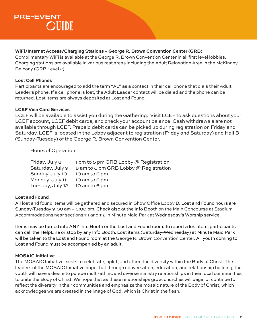#### **WiFi/Internet Access/Charging Stations – George R. Brown Convention Center (GRB)**

Complimentary WiFi is available at the George R. Brown Convention Center in all first level lobbies. Charging stations are available in various rest areas including the Adult Relaxation Area in the McKinney Balcony (GRB Level 2).

#### **Lost Cell Phones**

Participants are encouraged to add the term "AL" as a contact in their cell phone that dials their Adult Leader's phone. If a cell phone is lost, the Adult Leader contact will be dialed and the phone can be returned. Lost items are always deposited at Lost and Found.

#### **LCEF Visa Card Services**

LCEF will be available to assist you during the Gathering. Visit LCEF to ask questions about your LCEF account, LCEF debit cards, and check your account balance. Cash withdrawals are not available through LCEF. Prepaid debit cards can be picked up during registration on Friday and Saturday. LCEF is located in the Lobby adjacent to registration (Friday and Saturday) and Hall B (Sunday-Tuesday) of the George R. Brown Convention Center.

Hours of Operation:

| Friday, July 8   | 1 pm to 5 pm GRB Lobby @ Registration |
|------------------|---------------------------------------|
| Saturday, July 9 | 8 am to 6 pm GRB Lobby @ Registration |
| Sunday, July 10  | 10 am to 6 pm                         |
| Monday, July 11  | 10 am to 6 pm                         |
| Tuesday, July 12 | 10 am to 6 pm                         |

#### **Lost and Found**

All lost and found items will be gathered and secured in Show Office Lobby D. Lost and Found hours are Sunday-Tuesday 9:00 am – 6:00 pm. Check also at the Info Booth on the Main Concourse at Stadium Accommodations near sections 111 and 112 in Minute Maid Park at Wednesday's Worship service.

Items may be turned into ANY Info Booth or the Lost and Found room. To report a lost item, participants can call the HelpLine or stop by any Info Booth. Lost items (Saturday-Wednesday) at Minute Maid Park will be taken to the Lost and Found room at the George R. Brown Convention Center. All youth coming to Lost and Found must be accompanied by an adult.

#### **MOSAIC Initiative**

The MOSAIC Initiative exists to celebrate, uplift, and affirm the diversity within the Body of Christ. The leaders of the MOSAIC Initiative hope that through conversation, education, and relationship building, the youth will have a desire to pursue multi-ethnic and diverse ministry relationships in their local communities to unite the Body of Christ. We hope that as these relationships grow, churches will begin or continue to reflect the diversity in their communities and emphasize the mosaic nature of the Body of Christ, which acknowledges we are created in the image of God, which is Christ in the flesh.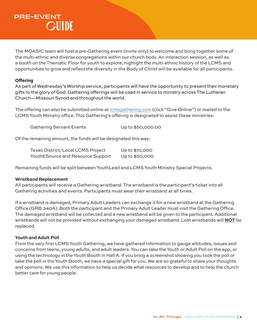The MOASIC team will host a pre-Gathering event (invite only) to welcome and bring together some of the multi-ethnic and diverse congregations within our church body. An interaction session, as well as a booth on the Thematic Floor for youth to explore, highlight the multi-ethnic history of the LCMS and opportunities to grow and reflect the diversity in the Body of Christ will be available for all participants.

#### **Offering**

As part of Wednesday's Worship service, participants will have the opportunity to present their monetary gifts to the glory of God. Gathering offerings will be used in service to ministry across The Lutheran Church—Missouri Synod and throughout the world.

The offering can also be submitted online at lcmsgathering.com (click "Give Online") or mailed to the LCMS Youth Ministry office. This Gathering's offering is designated to assist these ministries:

Gathering Servant Events Up to \$50,000.00

Of the remaining amount, the funds will be designated this way:

| Texas District/Local LCMS Project | Up to \$10,000 |
|-----------------------------------|----------------|
| YouthESource and Resource Support | Up to \$50,000 |

Remaining funds will be split between YouthLead and LCMS Youth Ministry Special Projects.

#### **Wristband Replacement**

All participants will receive a Gathering wristband. The wristband is the participant's ticket into all Gathering activities and events. Participants must wear their wristband at all times.

If a wristband is damaged, Primary Adult Leaders can exchange it for a new wristband at the Gathering Office (GRB 340A). Both the participant and the Primary Adult Leader must visit the Gathering Office. The damaged wristband will be collected and a new wristband will be given to the participant. Additional wristbands will not be provided without exchanging your damaged wristband. Lost wristbands will **NOT** be replaced.

#### **Youth and Adult Poll**

From the very first LCMS Youth Gathering, we have gathered information to gauge attitudes, issues and concerns from teens, young adults, and adult leaders. You can take the Youth or Adult Poll on the app, or using the technology in the Youth Booth in Hall A. If you bring a screenshot showing you took the poll or take the poll in the Youth Booth, we have a special gift for you. We are so grateful to share your thoughts and opinions. We use this information to help us decide what resources to develop and to help the church better care for young people.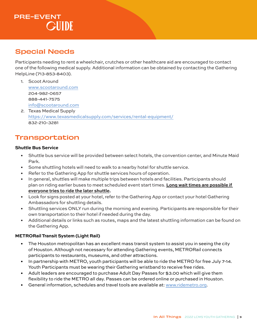### Special Needs

Participants needing to rent a wheelchair, crutches or other healthcare aid are encouraged to contact one of the following medical supply. Additional information can be obtained by contacting the Gathering HelpLine (713-853-8403).

- 1. Scoot Around www.scootaround.com 204-982-0657 888-441-7575 info@scootaround.com
- 2. Texas Medical Supply https://www.texasmedicalsupply.com/services/rental-equipment/ 832-210-3281

### Transportation

#### **Shuttle Bus Service**

- Shuttle bus service will be provided between select hotels, the convention center, and Minute Maid Park.
- Some shuttling hotels will need to walk to a nearby hotel for shuttle service.
- Refer to the Gathering App for shuttle services hours of operation.
- In general, shuttles will make multiple trips between hotels and facilities. Participants should plan on riding earlier buses to meet scheduled event start times. **Long wait times are possible if everyone tries to ride the later shuttle.**
- Look for signs posted at your hotel, refer to the Gathering App or contact your hotel Gathering Ambassadors for shuttling details.
- Shuttling services ONLY run during the morning and evening. Participants are responsible for their own transportation to their hotel if needed during the day.
- Additional details or links such as routes, maps and the latest shuttling information can be found on the Gathering App.

#### **METRORail Transit System (Light Rail)**

- The Houston metropolitan has an excellent mass transit system to assist you in seeing the city of Houston. Although not necessary for attending Gathering events, METRORail connects participants to restaurants, museums, and other attractions.
- In partnership with METRO, youth participants will be able to ride the METRO for free July 7-14. Youth Participants must be wearing their Gathering wristband to receive free rides.
- Adult leaders are encouraged to purchase Adult Day Passes for \$3.00 which will give them flexibility to ride the METRO all day. Passes can be ordered online or purchased in Houston.
- General information, schedules and travel tools are available at: www.ridemetro.org.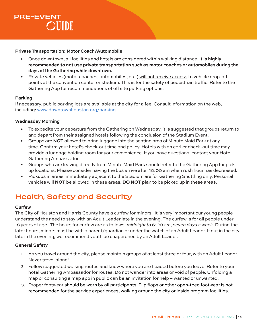#### **Private Transportation: Motor Coach/Automobile**

- Once downtown, all facilities and hotels are considered within walking distance. **It is highly recommended to not use private transportation such as motor coaches or automobiles during the days of the Gathering while downtown.**
- Private vehicles (motor coaches, automobiles, etc.) will not receive access to vehicle drop-off points at the convention center or stadium. This is for the safety of pedestrian traffic. Refer to the Gathering App for recommendations of off site parking options.

#### **Parking**

If necessary, public parking lots are available at the city for a fee. Consult information on the web, including: www.downtownhouston.org/parking.

#### **Wednesday Morning**

- To expedite your departure from the Gathering on Wednesday, it is suggested that groups return to and depart from their assigned hotels following the conclusion of the Stadium Event.
- Groups are **NOT** allowed to bring luggage into the seating area of Minute Maid Park at any time. Confirm your hotel's check-out time and policy. Hotels with an earlier check-out time may provide a luggage holding room for your convenience. If you have questions, contact your Hotel Gathering Ambassador.
- Groups who are leaving directly from Minute Maid Park should refer to the Gathering App for pickup locations. Please consider having the bus arrive after 10:00 am when rush hour has decreased.
- Pickups in areas immediately adjacent to the Stadium are for Gathering Shuttling only. Personal vehicles will **NOT** be allowed in these areas. **DO NOT** plan to be picked up in these areas.

### Health, Safety and Security

#### **Curfew**

The City of Houston and Harris County have a curfew for minors. It is very important our young people understand the need to stay with an Adult Leader late in the evening. The curfew is for all people under 18 years of age. The hours for curfew are as follows: *midnight to 6:00 am, seven days a week.* During the later hours, minors must be with a parent/guardian or under the watch of an Adult Leader. If out in the city late in the evening, we recommend youth be chaperoned by an Adult Leader.

#### **General Safety**

- 1. As you travel around the city, please maintain groups of at least three or four, with an Adult Leader. Never travel alone!
- 2. Follow suggested walking routes and know where you are headed before you leave. Refer to your hotel Gathering Ambassador for routes. Do not wander into areas or void of people. Unfolding a map or consulting a map app in public can be an invitation for help – wanted or unwanted.
- 3. Proper footwear should be worn by all participants. Flip flops or other open-toed footwear is not recommended for the service experiences, walking around the city or inside program facilities.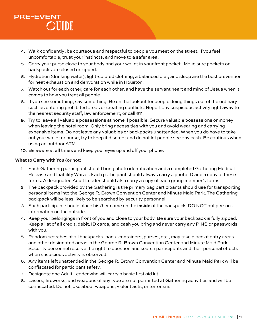- 4. Walk confidently; be courteous and respectful to people you meet on the street. If you feel uncomfortable, trust your instincts, and move to a safer area.
- 5. Carry your purse close to your body and your wallet in your front pocket. Make sure pockets on backpacks are closed or zipped.
- 6. Hydration (drinking water), light-colored clothing, a balanced diet, and sleep are the best prevention for heat exhaustion and dehydration while in Houston.
- 7. Watch out for each other, care for each other, and have the servant heart and mind of Jesus when it comes to how you treat all people.
- 8. If you see something, say something! Be on the lookout for people doing things out of the ordinary such as entering prohibited areas or creating conflicts. Report any suspicious activity right away to the nearest security staff, law enforcement, or call 911.
- 9. Try to leave all valuable possessions at home if possible. Secure valuable possessions or money when leaving the hotel room. Only bring necessities with you and avoid wearing and carrying expensive items. Do not leave any valuables or backpacks unattended. When you do have to take out your wallet or purse, try to keep it discreet and do not let people see any cash. Be cautious when using an outdoor ATM.
- 10. Be aware at all times and keep your eyes up and off your phone.

#### **What to Carry with You (or not)**

- 1. Each Gathering participant should bring photo identification and a completed Gathering Medical Release and Liability Waiver. Each participant should always carry a photo ID and a copy of these forms. A designated Adult Leader should also carry a copy of each group member's forms.
- 2. The backpack provided by the Gathering is the primary bag participants should use for transporting personal items into the George R. Brown Convention Center and Minute Maid Park. The Gathering backpack will be less likely to be searched by security personnel.
- 3. Each participant should place his/her name on the **inside** of the backpack. DO NOT put personal information on the outside.
- 4. Keep your belongings in front of you and close to your body. Be sure your backpack is fully zipped. Keep a list of all credit, debit, ID cards, and cash you bring and never carry any PINS or passwords with you.
- 5. Random searches of all backpacks, bags, containers, purses, etc., may take place at entry areas and other designated areas in the George R. Brown Convention Center and Minute Maid Park. Security personnel reserve the right to question and search participants and their personal effects when suspicious activity is observed.
- 6. Any items left unattended in the George R. Brown Convention Center and Minute Maid Park will be confiscated for participant safety.
- 7. Designate one Adult Leader who will carry a basic first aid kit.
- 8. Lasers, fireworks, and weapons of any type are not permitted at Gathering activities and will be confiscated. Do not joke about weapons, violent acts, or terrorism.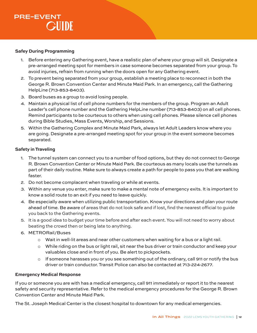#### **Safey During Programming**

- 1. Before entering any Gathering event, have a realistic plan of where your group will sit. Designate a pre-arranged meeting spot for members in case someone becomes separated from your group. To avoid injuries, refrain from running when the doors open for any Gathering event.
- 2. To prevent being separated from your group, establish a meeting place to reconnect in both the George R. Brown Convention Center and Minute Maid Park. In an emergency, call the Gathering HelpLine (713-853-8403).
- 3. Board buses as a group to avoid losing people.
- 4. Maintain a physical list of cell phone numbers for the members of the group. Program an Adult Leader's cell phone number and the Gathering HelpLine number (713-853-8403) on all cell phones. Remind participants to be courteous to others when using cell phones. Please silence cell phones during Bible Studies, Mass Events, Worship, and Sessions.
- 5. Within the Gathering Complex and Minute Maid Park, always let Adult Leaders know where you are going. Designate a pre-arranged meeting spot for your group in the event someone becomes separated.

#### **Safety in Traveling**

- 1. The tunnel system can connect you to a number of food options, but they do not connect to George R. Brown Convention Center or Minute Maid Park. Be courteous as many locals use the tunnels as part of their daily routine. Make sure to always create a path for people to pass you that are walking faster.
- 2. Do not become complacent when traveling or while at events.
- 3. Within any venue you enter, make sure to make a mental note of emergency exits. It is important to know a solid route to an exit if you need to leave quickly.
- 4. Be especially aware when utilizing public transportation. Know your directions and plan your route ahead of time. Be aware of areas that do not look safe and if lost, find the nearest official to guide you back to the Gathering events.
- 5. It is a good idea to budget your time before and after each event. You will not need to worry about beating the crowd then or being late to anything.
- 6. METRORail/Buses
	- o Wait in well-lit areas and near other customers when waiting for a bus or a light rail.
	- $\circ$  While riding on the bus or light rail, sit near the bus driver or train conductor and keep your valuables close and in front of you. Be alert to pickpockets.
	- $\circ$  If someone harasses you or you see something out of the ordinary, call 911 or notify the bus driver or train conductor. Transit Police can also be contacted at 713-224-2677.

#### **Emergency Medical Response**

If you or someone you are with has a medical emergency, call 911 immediately or report it to the nearest safety and security representative. Refer to the medical emergency procedures for the George R. Brown Convention Center and Minute Maid Park.

The St. Joseph Medical Center is the closest hospital to downtown for any medical emergencies.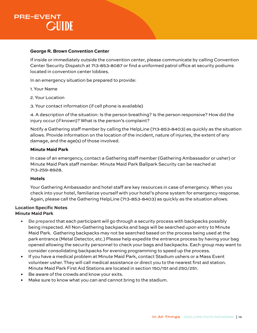

#### **George R. Brown Convention Center**

If inside or immediately outside the convention center, please communicate by calling Convention Center Security Dispatch at 713-853-8087 or find a uniformed patrol office at security podiums located in convention center lobbies.

In an emergency situation be prepared to provide:

- 1. Your Name
- 2. Your Location

3. Your contact information (if cell phone is available)

4. A description of the situation: Is the person breathing? Is the person responsive? How did the injury occur (if known)? What is the person's complaint?

Notify a Gathering staff member by calling the HelpLine (713-853-8403) as quickly as the situation allows. Provide information on the location of the incident, nature of injuries, the extent of any damage, and the age(s) of those involved.

#### **Minute Maid Park**

In case of an emergency, contact a Gathering staff member (Gathering Ambassador or usher) or Minute Maid Park staff member. Minute Maid Park Ballpark Security can be reached at 713-259-8928.

#### **Hotels**

Your Gathering Ambassador and hotel staff are key resources in case of emergency. When you check into your hotel, familiarize yourself with your hotel's phone system for emergency response. Again, please call the Gathering HelpLine (713-853-8403) as quickly as the situation allows.

#### **Location Specific Notes Minute Maid Park**

- Be prepared that each participant will go through a security process with backpacks possibly being inspected. All Non-Gathering backpacks and bags will be searched upon entry to Minute Maid Park. Gathering backpacks may not be searched based on the process being used at the park entrance (Metal Detector, etc.) Please help expedite the entrance process by having your bag opened allowing the security personnel to check your bags and backpacks. Each group may want to consider consolidating backpacks for evening programming to speed up the process.
- If you have a medical problem at Minute Maid Park, contact Stadium ushers or a Mass Event volunteer usher. They will call medical assistance or direct you to the nearest first aid station. Minute Maid Park First Aid Stations are located in section 150/151 and 250/251.
- Be aware of the crowds and know your exits.
- Make sure to know what you can and cannot bring to the stadium.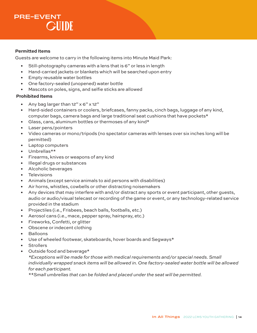#### **Permitted Items**

Guests are welcome to carry in the following items into Minute Maid Park:

- Still-photography cameras with a lens that is 6" or less in length
- Hand-carried jackets or blankets which will be searched upon entry
- Empty reusable water bottles
- One factory-sealed (unopened) water bottle
- Mascots on poles, signs, and selfie sticks are allowed

#### **Prohibited Items**

- Any bag larger than 12" x 6" x 12"
- Hard-sided containers or coolers, briefcases, fanny packs, cinch bags, luggage of any kind, computer bags, camera bags and large traditional seat cushions that have pockets\*
- Glass, cans, aluminum bottles or thermoses of any kind\*
- Laser pens/pointers
- Video cameras or mono/tripods (no spectator cameras with lenses over six inches long will be permitted)
- Laptop computers
- Umbrellas\*\*
- Firearms, knives or weapons of any kind
- Illegal drugs or substances
- Alcoholic beverages
- **Televisions**
- Animals (except service animals to aid persons with disabilities)
- Air horns, whistles, cowbells or other distracting noisemakers
- Any devices that may interfere with and/or distract any sports or event participant, other guests, audio or audio/visual telecast or recording of the game or event, or any technology-related service provided in the stadium
- Projectiles (i.e., Frisbees, beach balls, footballs, etc.)
- Aerosol cans (i.e., mace, pepper spray, hairspray, etc.)
- Fireworks, Confetti, or glitter
- Obscene or indecent clothing
- Balloons
- Use of wheeled footwear, skateboards, hover boards and Segways\*
- **Strollers**
- Outside food and beverage\*

*\*Exceptions will be made for those with medical requirements and/or special needs. Small individually wrapped snack items will be allowed in. One factory-sealed water bottle will be allowed for each participant.*

*\*\*Small umbrellas that can be folded and placed under the seat will be permitted.*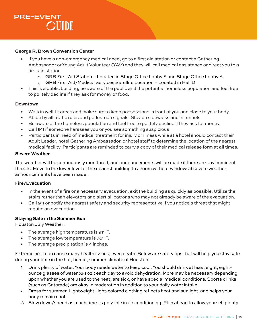

#### **George R. Brown Convention Center**

- If you have a non-emergency medical need, go to a first aid station or contact a Gathering Ambassador or Young Adult Volunteer (YAV) and they will call medical assistance or direct you to a first aid station.
	- o GRB First Aid Station Located in Stage Office Lobby E and Stage Office Lobby A.
	- o GRB First Aid/Medical Services Satellite Location Located in Hall D
- This is a public building, be aware of the public and the potential homeless population and feel free to politely decline if they ask for money or food.

#### **Downtown**

- Walk in well-lit areas and make sure to keep possessions in front of you and close to your body.
- Abide by all traffic rules and pedestrian signals. Stay on sidewalks and in tunnels
- Be aware of the homeless population and feel free to politely decline if they ask for money.
- Call 911 if someone harasses you or you see something suspicious
- Participants in need of medical treatment for injury or illness while at a hotel should contact their Adult Leader, hotel Gathering Ambassador, or hotel staff to determine the location of the nearest medical facility. Participants are reminded to carry a copy of their medical release form at all times.

#### **Severe Weather**

The weather will be continuously monitored, and announcements will be made if there are any imminent threats. Move to the lower level of the nearest building to a room without windows if severe weather announcements have been made.

#### **Fire/Evacuation**

- In the event of a fire or a necessary evacuation, exit the building as quickly as possible. Utilize the stairs rather than elevators and alert all patrons who may not already be aware of the evacuation.
- Call 911 or notify the nearest safety and security representative if you notice a threat that might require an evacuation.

#### **Staying Safe in the Summer Sun**

Houston July Weather:

- The average high temperature is 91° F.
- The average low temperature is 76° F.
- The average precipitation is 4 inches.

Extreme heat can cause many health issues, even death. Below are safety tips that will help you stay safe during your time in the hot, humid, summer climate of Houston.

- 1. Drink plenty of water. Your body needs water to keep cool. You should drink at least eight, eightounce glasses of water (64 oz.) each day to avoid dehydration. More may be necessary depending upon whether you are used to the heat, are sick, or have special medical conditions. Sports drinks (such as Gatorade) are okay in moderation in addition to your daily water intake.
- 2. Dress for summer. Lightweight, light-colored clothing reflects heat and sunlight, and helps your body remain cool.
- 3. Slow down/spend as much time as possible in air conditioning. Plan ahead to allow yourself plenty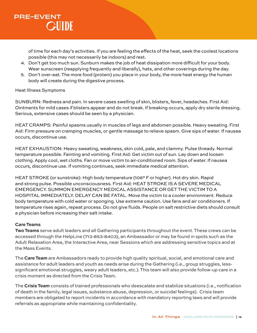of time for each day's activities. If you are feeling the effects of the heat, seek the coolest locations possible (this may not necessarily be indoors) and rest.

- 4. Don't get too much sun. Sunburn makes the job of heat dissipation more difficult for your body. Wear sunscreen (reapplying frequently and liberally), hats, and other coverings during the day.
- 5. Don't over-eat. The more food (protein) you place in your body, the more heat energy the human body will create during the digestive process.

#### Heat Illness Symptoms

SUNBURN: Redness and pain. In severe cases swelling of skin, blisters, fever, headaches. First Aid: Ointments for mild cases if blisters appear and do not break. If breaking occurs, apply dry sterile dressing. Serious, extensive cases should be seen by a physician.

HEAT CRAMPS: Painful spasms usually in muscles of legs and abdomen possible. Heavy sweating. First Aid: Firm pressure on cramping muscles, or gentle massage to relieve spasm. Give sips of water. If nausea occurs, discontinue use.

HEAT EXHAUSTION: Heavy sweating, weakness, skin cold, pale, and clammy. Pulse thready. Normal temperature possible. Fainting and vomiting. First Aid: Get victim out of sun. Lay down and loosen clothing. Apply cool, wet cloths. Fan or move victim to air-conditioned room. Sips of water. If nausea occurs, discontinue use. If vomiting continues, seek immediate medical attention.

HEAT STROKE (or sunstroke): High body temperature (106° F or higher). Hot dry skin. Rapid and strong pulse. Possible unconsciousness. First Aid: HEAT STROKE IS A SEVERE MEDICAL EMERGENCY. SUMMON EMERGENCY MEDICAL ASSISTANCE OR GET THE VICTIM TO A HOSPITAL IMMEDIATELY. DELAY CAN BE FATAL. Move the victim to a cooler environment. Reduce body temperature with cold water or sponging. Use extreme caution. Use fans and air conditioners. If temperature rises again, repeat process. Do not give fluids. People on salt restrictive diets should consult a physician before increasing their salt intake.

#### **Care Teams**

**Two Teams** serve adult leaders and all Gathering participants throughout the event. These crews can be accessed through the HelpLine (713-853-8403), an Ambassador or may be found in spots such as the Adult Relaxation Area, the Interactive Area, near Sessions which are addressing sensitive topics and at the Mass Events.

The **Care Team** are Ambassadors ready to provide high quality spiritual, social, and emotional care and assistance for adult leaders and youth as needs arise during the Gathering (i.e., group struggles, lesssignificant emotional struggles, weary adult leaders, etc.). This team will also provide follow-up care in a crisis moment as directed from the Crisis Team.

The **Crisis Team** consists of trained professionals who deescalate and stabilize situations (i.e., notification of death in the family, legal issues, substance abuse, depression, or suicidal feelings). Crisis team members are obligated to report incidents in accordance with mandatory reporting laws and will provide referrals as appropriate while maintaining confidentiality.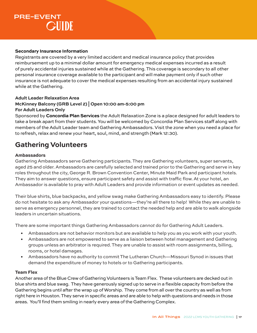#### **Secondary Insurance Information**

Registrants are covered by a very limited accident and medical insurance policy that provides reimbursement up to a minimal dollar amount for emergency medical expenses incurred as a result of purely accidental injuries sustained while at the Gathering. This coverage is secondary to all other personal insurance coverage available to the participant and will make payment only if such other insurance is not adequate to cover the medical expenses resulting from an accidental injury sustained while at the Gathering.

#### **Adult Leader Relaxation Area**

### **McKinney Balcony (GRB Level 2) | Open 10:00 am-5:00 pm**

#### **For Adult Leaders Only**

Sponsored by **Concordia Plan Services** the Adult Relaxation Zone is a place designed for adult leaders to take a break apart from their students. You will be welcomed by Concordia Plan Services staff along with members of the Adult Leader team and Gathering Ambassadors. Visit the zone when you need a place for to refresh, relax and renew your heart, soul, mind, and strength (Mark 12:30).

### **Gathering Volunteers**

#### **Ambassadors**

Gathering Ambassadors serve Gathering participants. They are Gathering volunteers, super servants, aged 25 and older. Ambassadors are carefully selected and trained prior to the Gathering and serve in key roles throughout the city, George R. Brown Convention Center, Minute Maid Park and participant hotels. They aim to answer questions, ensure participant safety and assist with traffic flow. At your hotel, an Ambassador is available to pray with Adult Leaders and provide information or event updates as needed.

Their blue shirts, blue backpacks, and yellow swag make Gathering Ambassadors easy to identify. Please do not hesitate to ask any Ambassador your questions—they're all there to help! While they are unable to serve as emergency personnel, they are trained to contact the needed help and are able to walk alongside leaders in uncertain situations.

There are some important things Gathering Ambassadors *cannot* do for Gathering Adult Leaders.

- Ambassadors are not behavior monitors but are available to help you as you work with your youth.
- Ambassadors are not empowered to serve as a liaison between hotel management and Gathering groups unless an arbitrator is required. They are unable to assist with room assignments, billing, rooms, or hotel damages.
- Ambassadors have no authority to commit The Lutheran Church—Missouri Synod in issues that demand the expenditure of money to hotels or to Gathering participants.

#### **Team Flex**

Another area of the Blue Crew of Gathering Volunteers is Team Flex. These volunteers are decked out in blue shirts and blue swag. They have generously signed up to serve in a flexible capacity from before the Gathering begins until after the wrap up of Worship. They come from all over the country as well as from right here in Houston. They serve in specific areas and are able to help with questions and needs in those areas. You'll find them smiling in nearly every area of the Gathering Complex.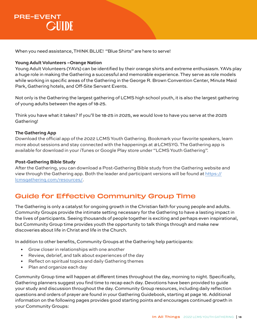When you need assistance, THINK BLUE! "Blue Shirts" are here to serve!

#### **Young Adult Volunteers –Orange Nation**

Young Adult Volunteers (YAVs) can be identified by their orange shirts and extreme enthusiasm. YAVs play a huge role in making the Gathering a successful and memorable experience. They serve as role models while working in specific areas of the Gathering in the George R. Brown Convention Center, Minute Maid Park, Gathering hotels, and Off-Site Servant Events.

Not only is the Gathering the largest gathering of LCMS high school youth, it is also the largest gathering of young adults between the ages of 18-25.

Think you have what it takes? If you'll be 18-25 in 2025, we would love to have you serve at the 2025 Gathering!

#### **The Gathering App**

Download the official app of the 2022 LCMS Youth Gathering. Bookmark your favorite speakers, learn more about sessions and stay connected with the happenings at  $\#LCMSYG$ . The Gathering app is available for download in your iTunes or Google Play store under "LCMS Youth Gathering".

#### **Post-Gathering Bible Study**

After the Gathering, you can download a Post-Gathering Bible study from the Gathering website and view through the Gathering app. Both the leader and participant versions will be found at https:// lcmsgathering.com/resources/.

### Guide for Effective Community Group Time

The Gathering is only a catalyst for ongoing growth in the Christian faith for young people and adults. Community Groups provide the intimate setting necessary for the Gathering to have a lasting impact in the lives of participants. Seeing thousands of people together is exciting and perhaps even inspirational, but Community Group time provides youth the opportunity to talk things through and make new discoveries about life in Christ and life in the Church.

In addition to other benefits, Community Groups at the Gathering help participants:

- Grow closer in relationships with one another
- Review, debrief, and talk about experiences of the day
- Reflect on spiritual topics and daily Gathering themes
- Plan and organize each day

Community Group time will happen at different times throughout the day, morning to night. Specifically, Gathering planners suggest you find time to recap each day. Devotions have been provided to guide your study and discussion throughout the day. Community Group resources, including daily reflection questions and orders of prayer are found in your Gathering Guidebook, starting at page 16. Additional information on the following pages provides good starting points and encourages continued growth in your Community Groups: